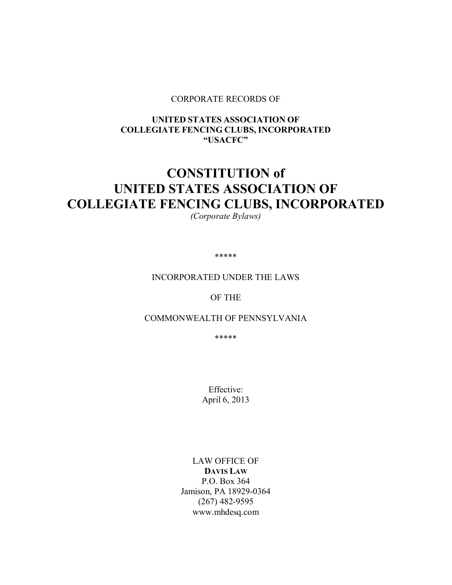#### CORPORATE RECORDS OF

# UNITED STATES ASSOCIATION OF COLLEGIATE FENCING CLUBS, INCORPORATED "USACFC"

# CONSTITUTION of UNITED STATES ASSOCIATION OF COLLEGIATE FENCING CLUBS, INCORPORATED

*(Corporate Bylaws)* 

\*\*\*\*\*

#### INCORPORATED UNDER THE LAWS

# OF THE

## COMMONWEALTH OF PENNSYLVANIA

\*\*\*\*\*

Effective: April 6, 2013

LAW OFFICE OF DAVIS LAW P.O. Box 364 Jamison, PA 18929-0364 (267) 482-9595 www.mhdesq.com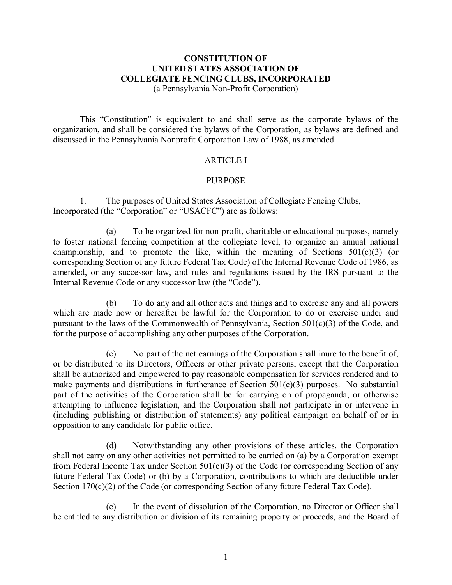## CONSTITUTION OF UNITED STATES ASSOCIATION OF COLLEGIATE FENCING CLUBS, INCORPORATED (a Pennsylvania Non-Profit Corporation)

This "Constitution" is equivalent to and shall serve as the corporate bylaws of the organization, and shall be considered the bylaws of the Corporation, as bylaws are defined and discussed in the Pennsylvania Nonprofit Corporation Law of 1988, as amended.

# **ARTICLE I**

## PURPOSE

1. The purposes of United States Association of Collegiate Fencing Clubs, Incorporated (the "Corporation" or "USACFC") are as follows:

(a) To be organized for non-profit, charitable or educational purposes, namely to foster national fencing competition at the collegiate level, to organize an annual national championship, and to promote the like, within the meaning of Sections  $501(c)(3)$  (or corresponding Section of any future Federal Tax Code) of the Internal Revenue Code of 1986, as amended, or any successor law, and rules and regulations issued by the IRS pursuant to the Internal Revenue Code or any successor law (the "Code").

(b) To do any and all other acts and things and to exercise any and all powers which are made now or hereafter be lawful for the Corporation to do or exercise under and pursuant to the laws of the Commonwealth of Pennsylvania, Section 501(c)(3) of the Code, and for the purpose of accomplishing any other purposes of the Corporation.

(c) No part of the net earnings of the Corporation shall inure to the benefit of, or be distributed to its Directors, Officers or other private persons, except that the Corporation shall be authorized and empowered to pay reasonable compensation for services rendered and to make payments and distributions in furtherance of Section 501(c)(3) purposes. No substantial part of the activities of the Corporation shall be for carrying on of propaganda, or otherwise attempting to influence legislation, and the Corporation shall not participate in or intervene in (including publishing or distribution of statements) any political campaign on behalf of or in opposition to any candidate for public office.

 (d) Notwithstanding any other provisions of these articles, the Corporation shall not carry on any other activities not permitted to be carried on (a) by a Corporation exempt from Federal Income Tax under Section  $501(c)(3)$  of the Code (or corresponding Section of any future Federal Tax Code) or (b) by a Corporation, contributions to which are deductible under Section 170(c)(2) of the Code (or corresponding Section of any future Federal Tax Code).

(e) In the event of dissolution of the Corporation, no Director or Officer shall be entitled to any distribution or division of its remaining property or proceeds, and the Board of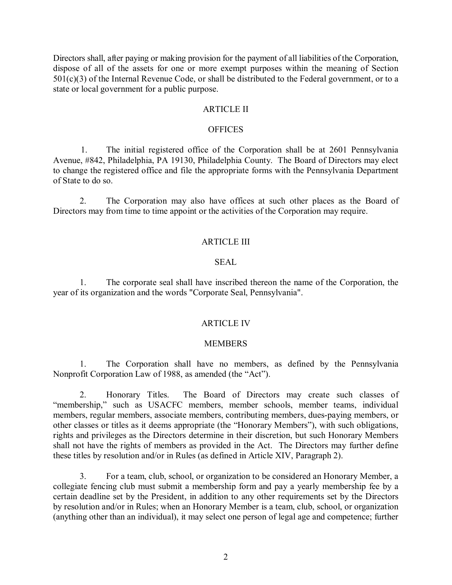Directors shall, after paying or making provision for the payment of all liabilities of the Corporation, dispose of all of the assets for one or more exempt purposes within the meaning of Section  $501(c)(3)$  of the Internal Revenue Code, or shall be distributed to the Federal government, or to a state or local government for a public purpose.

#### ARTICLE II

#### **OFFICES**

1. The initial registered office of the Corporation shall be at 2601 Pennsylvania Avenue, #842, Philadelphia, PA 19130, Philadelphia County. The Board of Directors may elect to change the registered office and file the appropriate forms with the Pennsylvania Department of State to do so.

2. The Corporation may also have offices at such other places as the Board of Directors may from time to time appoint or the activities of the Corporation may require.

#### ARTICLE III

#### SEAL

 1. The corporate seal shall have inscribed thereon the name of the Corporation, the year of its organization and the words "Corporate Seal, Pennsylvania".

## ARTICLE IV

## **MEMBERS**

1. The Corporation shall have no members, as defined by the Pennsylvania Nonprofit Corporation Law of 1988, as amended (the "Act").

2. Honorary Titles. The Board of Directors may create such classes of "membership," such as USACFC members, member schools, member teams, individual members, regular members, associate members, contributing members, dues-paying members, or other classes or titles as it deems appropriate (the "Honorary Members"), with such obligations, rights and privileges as the Directors determine in their discretion, but such Honorary Members shall not have the rights of members as provided in the Act. The Directors may further define these titles by resolution and/or in Rules (as defined in Article XIV, Paragraph 2).

3. For a team, club, school, or organization to be considered an Honorary Member, a collegiate fencing club must submit a membership form and pay a yearly membership fee by a certain deadline set by the President, in addition to any other requirements set by the Directors by resolution and/or in Rules; when an Honorary Member is a team, club, school, or organization (anything other than an individual), it may select one person of legal age and competence; further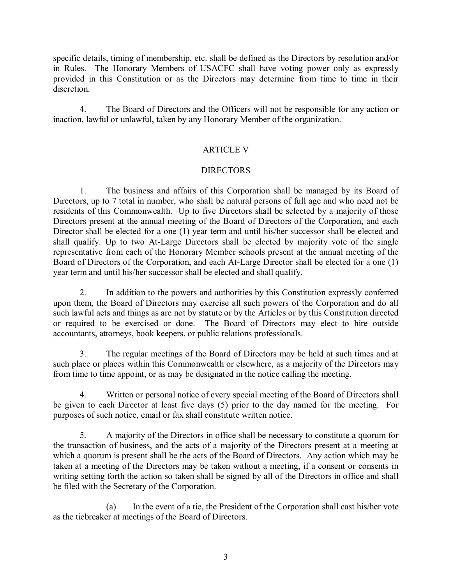specific details, timing of membership, etc. shall be defined as the Directors by resolution and/or in Rules. The Honorary Members of USACFC shall have voting power only as expressly provided in this Constitution or as the Directors may determine from time to time in their discretion.

4. The Board of Directors and the Officers will not be responsible for any action or inaction, lawful or unlawful, taken by any Honorary Member of the organization.

# ARTICLE V

# DIRECTORS

 1. The business and affairs of this Corporation shall be managed by its Board of Directors, up to 7 total in number, who shall be natural persons of full age and who need not be residents of this Commonwealth. Up to five Directors shall be selected by a majority of those Directors present at the annual meeting of the Board of Directors of the Corporation, and each Director shall be elected for a one (1) year term and until his/her successor shall be elected and shall qualify. Up to two At-Large Directors shall be elected by majority vote of the single representative from each of the Honorary Member schools present at the annual meeting of the Board of Directors of the Corporation, and each At-Large Director shall be elected for a one (1) year term and until his/her successor shall be elected and shall qualify.

 2. In addition to the powers and authorities by this Constitution expressly conferred upon them, the Board of Directors may exercise all such powers of the Corporation and do all such lawful acts and things as are not by statute or by the Articles or by this Constitution directed or required to be exercised or done. The Board of Directors may elect to hire outside accountants, attorneys, book keepers, or public relations professionals.

 3. The regular meetings of the Board of Directors may be held at such times and at such place or places within this Commonwealth or elsewhere, as a majority of the Directors may from time to time appoint, or as may be designated in the notice calling the meeting.

 4. Written or personal notice of every special meeting of the Board of Directors shall be given to each Director at least five days (5) prior to the day named for the meeting. For purposes of such notice, email or fax shall constitute written notice.

 5. A majority of the Directors in office shall be necessary to constitute a quorum for the transaction of business, and the acts of a majority of the Directors present at a meeting at which a quorum is present shall be the acts of the Board of Directors. Any action which may be taken at a meeting of the Directors may be taken without a meeting, if a consent or consents in writing setting forth the action so taken shall be signed by all of the Directors in office and shall be filed with the Secretary of the Corporation.

 (a) In the event of a tie, the President of the Corporation shall cast his/her vote as the tiebreaker at meetings of the Board of Directors.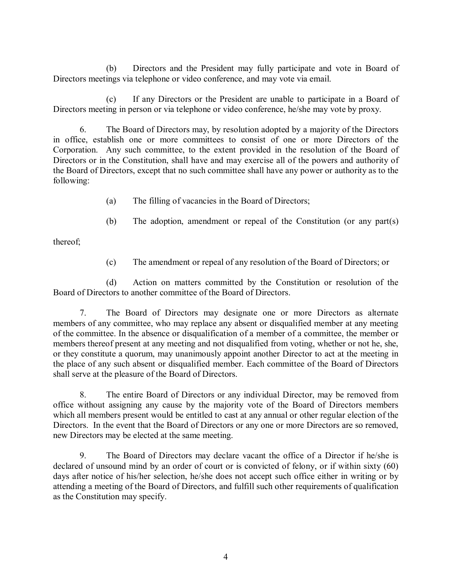(b) Directors and the President may fully participate and vote in Board of Directors meetings via telephone or video conference, and may vote via email.

 (c) If any Directors or the President are unable to participate in a Board of Directors meeting in person or via telephone or video conference, he/she may vote by proxy.

 6. The Board of Directors may, by resolution adopted by a majority of the Directors in office, establish one or more committees to consist of one or more Directors of the Corporation. Any such committee, to the extent provided in the resolution of the Board of Directors or in the Constitution, shall have and may exercise all of the powers and authority of the Board of Directors, except that no such committee shall have any power or authority as to the following:

- (a) The filling of vacancies in the Board of Directors;
- (b) The adoption, amendment or repeal of the Constitution (or any part(s)

thereof;

(c) The amendment or repeal of any resolution of the Board of Directors; or

 (d) Action on matters committed by the Constitution or resolution of the Board of Directors to another committee of the Board of Directors.

 7. The Board of Directors may designate one or more Directors as alternate members of any committee, who may replace any absent or disqualified member at any meeting of the committee. In the absence or disqualification of a member of a committee, the member or members thereof present at any meeting and not disqualified from voting, whether or not he, she, or they constitute a quorum, may unanimously appoint another Director to act at the meeting in the place of any such absent or disqualified member. Each committee of the Board of Directors shall serve at the pleasure of the Board of Directors.

 8. The entire Board of Directors or any individual Director, may be removed from office without assigning any cause by the majority vote of the Board of Directors members which all members present would be entitled to cast at any annual or other regular election of the Directors. In the event that the Board of Directors or any one or more Directors are so removed, new Directors may be elected at the same meeting.

 9. The Board of Directors may declare vacant the office of a Director if he/she is declared of unsound mind by an order of court or is convicted of felony, or if within sixty (60) days after notice of his/her selection, he/she does not accept such office either in writing or by attending a meeting of the Board of Directors, and fulfill such other requirements of qualification as the Constitution may specify.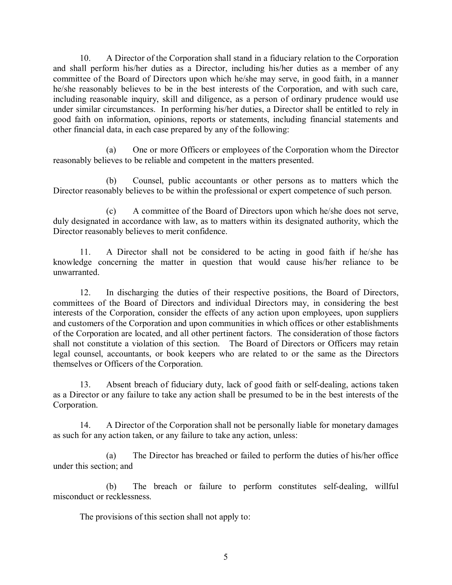10. A Director of the Corporation shall stand in a fiduciary relation to the Corporation and shall perform his/her duties as a Director, including his/her duties as a member of any committee of the Board of Directors upon which he/she may serve, in good faith, in a manner he/she reasonably believes to be in the best interests of the Corporation, and with such care, including reasonable inquiry, skill and diligence, as a person of ordinary prudence would use under similar circumstances. In performing his/her duties, a Director shall be entitled to rely in good faith on information, opinions, reports or statements, including financial statements and other financial data, in each case prepared by any of the following:

 (a) One or more Officers or employees of the Corporation whom the Director reasonably believes to be reliable and competent in the matters presented.

 (b) Counsel, public accountants or other persons as to matters which the Director reasonably believes to be within the professional or expert competence of such person.

 (c) A committee of the Board of Directors upon which he/she does not serve, duly designated in accordance with law, as to matters within its designated authority, which the Director reasonably believes to merit confidence.

11. A Director shall not be considered to be acting in good faith if he/she has knowledge concerning the matter in question that would cause his/her reliance to be unwarranted.

12. In discharging the duties of their respective positions, the Board of Directors, committees of the Board of Directors and individual Directors may, in considering the best interests of the Corporation, consider the effects of any action upon employees, upon suppliers and customers of the Corporation and upon communities in which offices or other establishments of the Corporation are located, and all other pertinent factors. The consideration of those factors shall not constitute a violation of this section. The Board of Directors or Officers may retain legal counsel, accountants, or book keepers who are related to or the same as the Directors themselves or Officers of the Corporation.

13. Absent breach of fiduciary duty, lack of good faith or self-dealing, actions taken as a Director or any failure to take any action shall be presumed to be in the best interests of the Corporation.

14. A Director of the Corporation shall not be personally liable for monetary damages as such for any action taken, or any failure to take any action, unless:

 (a) The Director has breached or failed to perform the duties of his/her office under this section; and

(b) The breach or failure to perform constitutes self-dealing, willful misconduct or recklessness.

The provisions of this section shall not apply to: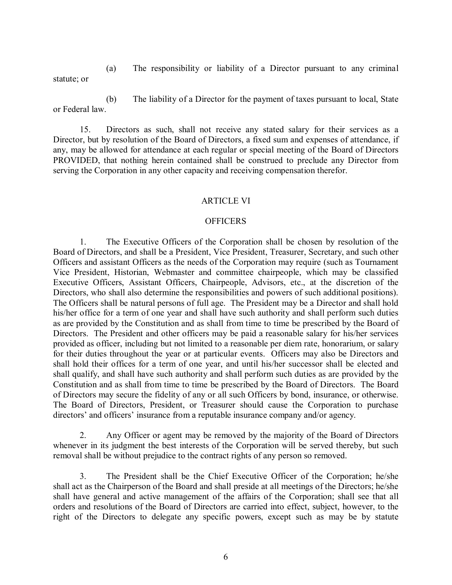(a) The responsibility or liability of a Director pursuant to any criminal statute; or

 (b) The liability of a Director for the payment of taxes pursuant to local, State or Federal law.

 15. Directors as such, shall not receive any stated salary for their services as a Director, but by resolution of the Board of Directors, a fixed sum and expenses of attendance, if any, may be allowed for attendance at each regular or special meeting of the Board of Directors PROVIDED, that nothing herein contained shall be construed to preclude any Director from serving the Corporation in any other capacity and receiving compensation therefor.

# ARTICLE VI

## **OFFICERS**

 1. The Executive Officers of the Corporation shall be chosen by resolution of the Board of Directors, and shall be a President, Vice President, Treasurer, Secretary, and such other Officers and assistant Officers as the needs of the Corporation may require (such as Tournament Vice President, Historian, Webmaster and committee chairpeople, which may be classified Executive Officers, Assistant Officers, Chairpeople, Advisors, etc., at the discretion of the Directors, who shall also determine the responsibilities and powers of such additional positions). The Officers shall be natural persons of full age. The President may be a Director and shall hold his/her office for a term of one year and shall have such authority and shall perform such duties as are provided by the Constitution and as shall from time to time be prescribed by the Board of Directors. The President and other officers may be paid a reasonable salary for his/her services provided as officer, including but not limited to a reasonable per diem rate, honorarium, or salary for their duties throughout the year or at particular events. Officers may also be Directors and shall hold their offices for a term of one year, and until his/her successor shall be elected and shall qualify, and shall have such authority and shall perform such duties as are provided by the Constitution and as shall from time to time be prescribed by the Board of Directors. The Board of Directors may secure the fidelity of any or all such Officers by bond, insurance, or otherwise. The Board of Directors, President, or Treasurer should cause the Corporation to purchase directors' and officers' insurance from a reputable insurance company and/or agency.

 2. Any Officer or agent may be removed by the majority of the Board of Directors whenever in its judgment the best interests of the Corporation will be served thereby, but such removal shall be without prejudice to the contract rights of any person so removed.

 3. The President shall be the Chief Executive Officer of the Corporation; he/she shall act as the Chairperson of the Board and shall preside at all meetings of the Directors; he/she shall have general and active management of the affairs of the Corporation; shall see that all orders and resolutions of the Board of Directors are carried into effect, subject, however, to the right of the Directors to delegate any specific powers, except such as may be by statute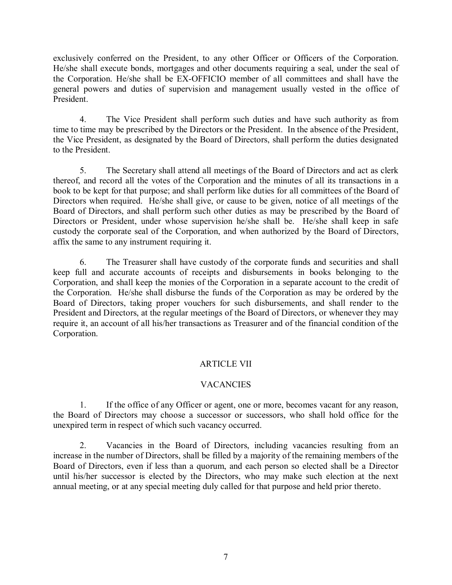exclusively conferred on the President, to any other Officer or Officers of the Corporation. He/she shall execute bonds, mortgages and other documents requiring a seal, under the seal of the Corporation. He/she shall be EX-OFFICIO member of all committees and shall have the general powers and duties of supervision and management usually vested in the office of President.

 4. The Vice President shall perform such duties and have such authority as from time to time may be prescribed by the Directors or the President. In the absence of the President, the Vice President, as designated by the Board of Directors, shall perform the duties designated to the President.

 5. The Secretary shall attend all meetings of the Board of Directors and act as clerk thereof, and record all the votes of the Corporation and the minutes of all its transactions in a book to be kept for that purpose; and shall perform like duties for all committees of the Board of Directors when required. He/she shall give, or cause to be given, notice of all meetings of the Board of Directors, and shall perform such other duties as may be prescribed by the Board of Directors or President, under whose supervision he/she shall be. He/she shall keep in safe custody the corporate seal of the Corporation, and when authorized by the Board of Directors, affix the same to any instrument requiring it.

 6. The Treasurer shall have custody of the corporate funds and securities and shall keep full and accurate accounts of receipts and disbursements in books belonging to the Corporation, and shall keep the monies of the Corporation in a separate account to the credit of the Corporation. He/she shall disburse the funds of the Corporation as may be ordered by the Board of Directors, taking proper vouchers for such disbursements, and shall render to the President and Directors, at the regular meetings of the Board of Directors, or whenever they may require it, an account of all his/her transactions as Treasurer and of the financial condition of the Corporation.

# ARTICLE VII

# **VACANCIES**

 1. If the office of any Officer or agent, one or more, becomes vacant for any reason, the Board of Directors may choose a successor or successors, who shall hold office for the unexpired term in respect of which such vacancy occurred.

 2. Vacancies in the Board of Directors, including vacancies resulting from an increase in the number of Directors, shall be filled by a majority of the remaining members of the Board of Directors, even if less than a quorum, and each person so elected shall be a Director until his/her successor is elected by the Directors, who may make such election at the next annual meeting, or at any special meeting duly called for that purpose and held prior thereto.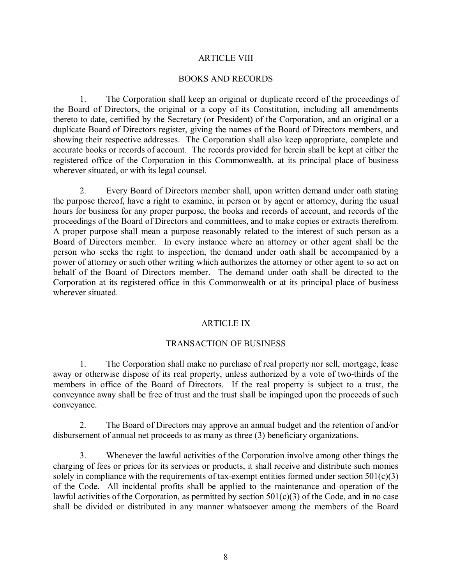#### ARTICLE VIII

#### BOOKS AND RECORDS

 1. The Corporation shall keep an original or duplicate record of the proceedings of the Board of Directors, the original or a copy of its Constitution, including all amendments thereto to date, certified by the Secretary (or President) of the Corporation, and an original or a duplicate Board of Directors register, giving the names of the Board of Directors members, and showing their respective addresses. The Corporation shall also keep appropriate, complete and accurate books or records of account. The records provided for herein shall be kept at either the registered office of the Corporation in this Commonwealth, at its principal place of business wherever situated, or with its legal counsel.

 2. Every Board of Directors member shall, upon written demand under oath stating the purpose thereof, have a right to examine, in person or by agent or attorney, during the usual hours for business for any proper purpose, the books and records of account, and records of the proceedings of the Board of Directors and committees, and to make copies or extracts therefrom. A proper purpose shall mean a purpose reasonably related to the interest of such person as a Board of Directors member. In every instance where an attorney or other agent shall be the person who seeks the right to inspection, the demand under oath shall be accompanied by a power of attorney or such other writing which authorizes the attorney or other agent to so act on behalf of the Board of Directors member. The demand under oath shall be directed to the Corporation at its registered office in this Commonwealth or at its principal place of business wherever situated.

## ARTICLE IX

## TRANSACTION OF BUSINESS

 1. The Corporation shall make no purchase of real property nor sell, mortgage, lease away or otherwise dispose of its real property, unless authorized by a vote of two-thirds of the members in office of the Board of Directors. If the real property is subject to a trust, the conveyance away shall be free of trust and the trust shall be impinged upon the proceeds of such conveyance.

 2. The Board of Directors may approve an annual budget and the retention of and/or disbursement of annual net proceeds to as many as three (3) beneficiary organizations.

 3. Whenever the lawful activities of the Corporation involve among other things the charging of fees or prices for its services or products, it shall receive and distribute such monies solely in compliance with the requirements of tax-exempt entities formed under section  $501(c)(3)$ of the Code. All incidental profits shall be applied to the maintenance and operation of the lawful activities of the Corporation, as permitted by section  $501(c)(3)$  of the Code, and in no case shall be divided or distributed in any manner whatsoever among the members of the Board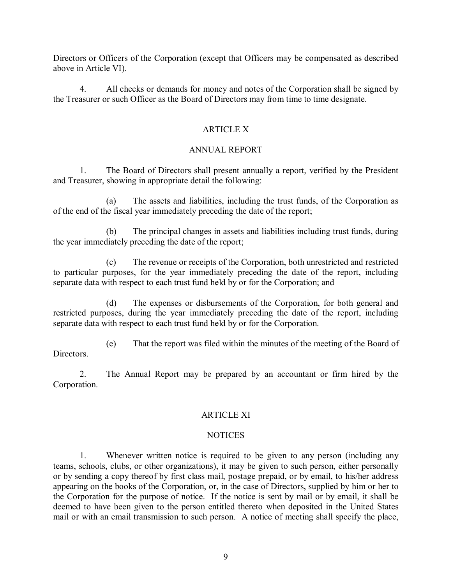Directors or Officers of the Corporation (except that Officers may be compensated as described above in Article VI).

 4. All checks or demands for money and notes of the Corporation shall be signed by the Treasurer or such Officer as the Board of Directors may from time to time designate.

# ARTICLE X

# ANNUAL REPORT

 1. The Board of Directors shall present annually a report, verified by the President and Treasurer, showing in appropriate detail the following:

 (a) The assets and liabilities, including the trust funds, of the Corporation as of the end of the fiscal year immediately preceding the date of the report;

 (b) The principal changes in assets and liabilities including trust funds, during the year immediately preceding the date of the report;

 (c) The revenue or receipts of the Corporation, both unrestricted and restricted to particular purposes, for the year immediately preceding the date of the report, including separate data with respect to each trust fund held by or for the Corporation; and

 (d) The expenses or disbursements of the Corporation, for both general and restricted purposes, during the year immediately preceding the date of the report, including separate data with respect to each trust fund held by or for the Corporation.

 (e) That the report was filed within the minutes of the meeting of the Board of **Directors** 

2. The Annual Report may be prepared by an accountant or firm hired by the Corporation.

## ARTICLE XI

## NOTICES

 1. Whenever written notice is required to be given to any person (including any teams, schools, clubs, or other organizations), it may be given to such person, either personally or by sending a copy thereof by first class mail, postage prepaid, or by email, to his/her address appearing on the books of the Corporation, or, in the case of Directors, supplied by him or her to the Corporation for the purpose of notice. If the notice is sent by mail or by email, it shall be deemed to have been given to the person entitled thereto when deposited in the United States mail or with an email transmission to such person. A notice of meeting shall specify the place,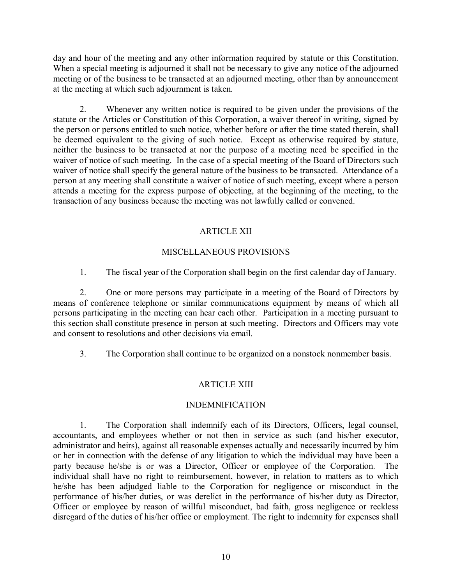day and hour of the meeting and any other information required by statute or this Constitution. When a special meeting is adjourned it shall not be necessary to give any notice of the adjourned meeting or of the business to be transacted at an adjourned meeting, other than by announcement at the meeting at which such adjournment is taken.

 2. Whenever any written notice is required to be given under the provisions of the statute or the Articles or Constitution of this Corporation, a waiver thereof in writing, signed by the person or persons entitled to such notice, whether before or after the time stated therein, shall be deemed equivalent to the giving of such notice. Except as otherwise required by statute, neither the business to be transacted at nor the purpose of a meeting need be specified in the waiver of notice of such meeting. In the case of a special meeting of the Board of Directors such waiver of notice shall specify the general nature of the business to be transacted. Attendance of a person at any meeting shall constitute a waiver of notice of such meeting, except where a person attends a meeting for the express purpose of objecting, at the beginning of the meeting, to the transaction of any business because the meeting was not lawfully called or convened.

# ARTICLE XII

# MISCELLANEOUS PROVISIONS

1. The fiscal year of the Corporation shall begin on the first calendar day of January.

 2. One or more persons may participate in a meeting of the Board of Directors by means of conference telephone or similar communications equipment by means of which all persons participating in the meeting can hear each other. Participation in a meeting pursuant to this section shall constitute presence in person at such meeting. Directors and Officers may vote and consent to resolutions and other decisions via email.

3. The Corporation shall continue to be organized on a nonstock nonmember basis.

# ARTICLE XIII

# INDEMNIFICATION

 1. The Corporation shall indemnify each of its Directors, Officers, legal counsel, accountants, and employees whether or not then in service as such (and his/her executor, administrator and heirs), against all reasonable expenses actually and necessarily incurred by him or her in connection with the defense of any litigation to which the individual may have been a party because he/she is or was a Director, Officer or employee of the Corporation. The individual shall have no right to reimbursement, however, in relation to matters as to which he/she has been adjudged liable to the Corporation for negligence or misconduct in the performance of his/her duties, or was derelict in the performance of his/her duty as Director, Officer or employee by reason of willful misconduct, bad faith, gross negligence or reckless disregard of the duties of his/her office or employment. The right to indemnity for expenses shall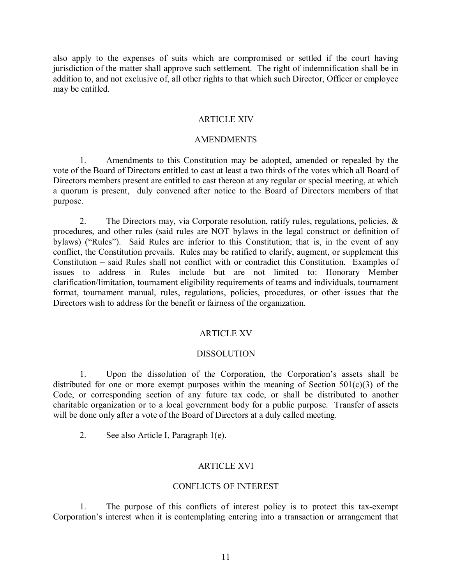also apply to the expenses of suits which are compromised or settled if the court having jurisdiction of the matter shall approve such settlement. The right of indemnification shall be in addition to, and not exclusive of, all other rights to that which such Director, Officer or employee may be entitled.

## ARTICLE XIV

#### AMENDMENTS

 1. Amendments to this Constitution may be adopted, amended or repealed by the vote of the Board of Directors entitled to cast at least a two thirds of the votes which all Board of Directors members present are entitled to cast thereon at any regular or special meeting, at which a quorum is present, duly convened after notice to the Board of Directors members of that purpose.

 2. The Directors may, via Corporate resolution, ratify rules, regulations, policies, & procedures, and other rules (said rules are NOT bylaws in the legal construct or definition of bylaws) ("Rules"). Said Rules are inferior to this Constitution; that is, in the event of any conflict, the Constitution prevails. Rules may be ratified to clarify, augment, or supplement this Constitution – said Rules shall not conflict with or contradict this Constitution. Examples of issues to address in Rules include but are not limited to: Honorary Member clarification/limitation, tournament eligibility requirements of teams and individuals, tournament format, tournament manual, rules, regulations, policies, procedures, or other issues that the Directors wish to address for the benefit or fairness of the organization.

## ARTICLE XV

#### DISSOLUTION

 1. Upon the dissolution of the Corporation, the Corporation's assets shall be distributed for one or more exempt purposes within the meaning of Section 501(c)(3) of the Code, or corresponding section of any future tax code, or shall be distributed to another charitable organization or to a local government body for a public purpose. Transfer of assets will be done only after a vote of the Board of Directors at a duly called meeting.

2. See also Article I, Paragraph 1(e).

## ARTICLE XVI

#### CONFLICTS OF INTEREST

1. The purpose of this conflicts of interest policy is to protect this tax-exempt Corporation's interest when it is contemplating entering into a transaction or arrangement that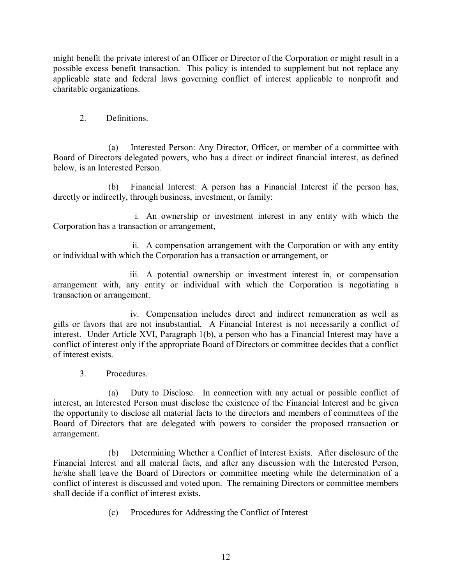might benefit the private interest of an Officer or Director of the Corporation or might result in a possible excess benefit transaction. This policy is intended to supplement but not replace any applicable state and federal laws governing conflict of interest applicable to nonprofit and charitable organizations.

2. Definitions.

(a) Interested Person: Any Director, Officer, or member of a committee with Board of Directors delegated powers, who has a direct or indirect financial interest, as defined below, is an Interested Person.

(b) Financial Interest: A person has a Financial Interest if the person has, directly or indirectly, through business, investment, or family:

i. An ownership or investment interest in any entity with which the Corporation has a transaction or arrangement,

ii. A compensation arrangement with the Corporation or with any entity or individual with which the Corporation has a transaction or arrangement, or

iii. A potential ownership or investment interest in, or compensation arrangement with, any entity or individual with which the Corporation is negotiating a transaction or arrangement.

iv. Compensation includes direct and indirect remuneration as well as gifts or favors that are not insubstantial. A Financial Interest is not necessarily a conflict of interest. Under Article XVI, Paragraph 1(b), a person who has a Financial Interest may have a conflict of interest only if the appropriate Board of Directors or committee decides that a conflict of interest exists.

3. Procedures.

(a) Duty to Disclose. In connection with any actual or possible conflict of interest, an Interested Person must disclose the existence of the Financial Interest and be given the opportunity to disclose all material facts to the directors and members of committees of the Board of Directors that are delegated with powers to consider the proposed transaction or arrangement.

(b) Determining Whether a Conflict of Interest Exists. After disclosure of the Financial Interest and all material facts, and after any discussion with the Interested Person, he/she shall leave the Board of Directors or committee meeting while the determination of a conflict of interest is discussed and voted upon. The remaining Directors or committee members shall decide if a conflict of interest exists.

(c) Procedures for Addressing the Conflict of Interest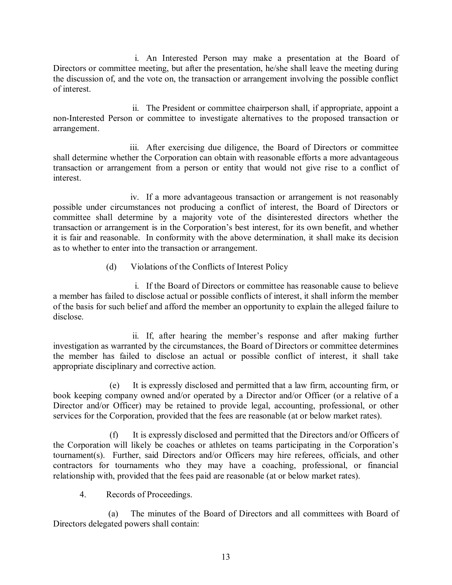i. An Interested Person may make a presentation at the Board of Directors or committee meeting, but after the presentation, he/she shall leave the meeting during the discussion of, and the vote on, the transaction or arrangement involving the possible conflict of interest.

ii. The President or committee chairperson shall, if appropriate, appoint a non-Interested Person or committee to investigate alternatives to the proposed transaction or arrangement.

iii. After exercising due diligence, the Board of Directors or committee shall determine whether the Corporation can obtain with reasonable efforts a more advantageous transaction or arrangement from a person or entity that would not give rise to a conflict of interest.

iv. If a more advantageous transaction or arrangement is not reasonably possible under circumstances not producing a conflict of interest, the Board of Directors or committee shall determine by a majority vote of the disinterested directors whether the transaction or arrangement is in the Corporation's best interest, for its own benefit, and whether it is fair and reasonable. In conformity with the above determination, it shall make its decision as to whether to enter into the transaction or arrangement.

# (d) Violations of the Conflicts of Interest Policy

i. If the Board of Directors or committee has reasonable cause to believe a member has failed to disclose actual or possible conflicts of interest, it shall inform the member of the basis for such belief and afford the member an opportunity to explain the alleged failure to disclose.

ii. If, after hearing the member's response and after making further investigation as warranted by the circumstances, the Board of Directors or committee determines the member has failed to disclose an actual or possible conflict of interest, it shall take appropriate disciplinary and corrective action.

(e) It is expressly disclosed and permitted that a law firm, accounting firm, or book keeping company owned and/or operated by a Director and/or Officer (or a relative of a Director and/or Officer) may be retained to provide legal, accounting, professional, or other services for the Corporation, provided that the fees are reasonable (at or below market rates).

(f) It is expressly disclosed and permitted that the Directors and/or Officers of the Corporation will likely be coaches or athletes on teams participating in the Corporation's tournament(s). Further, said Directors and/or Officers may hire referees, officials, and other contractors for tournaments who they may have a coaching, professional, or financial relationship with, provided that the fees paid are reasonable (at or below market rates).

4. Records of Proceedings.

(a) The minutes of the Board of Directors and all committees with Board of Directors delegated powers shall contain: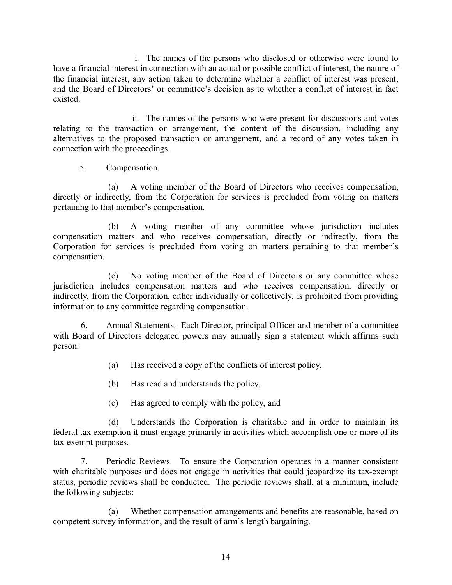i. The names of the persons who disclosed or otherwise were found to have a financial interest in connection with an actual or possible conflict of interest, the nature of the financial interest, any action taken to determine whether a conflict of interest was present, and the Board of Directors' or committee's decision as to whether a conflict of interest in fact existed.

ii. The names of the persons who were present for discussions and votes relating to the transaction or arrangement, the content of the discussion, including any alternatives to the proposed transaction or arrangement, and a record of any votes taken in connection with the proceedings.

5. Compensation.

(a) A voting member of the Board of Directors who receives compensation, directly or indirectly, from the Corporation for services is precluded from voting on matters pertaining to that member's compensation.

(b) A voting member of any committee whose jurisdiction includes compensation matters and who receives compensation, directly or indirectly, from the Corporation for services is precluded from voting on matters pertaining to that member's compensation.

(c) No voting member of the Board of Directors or any committee whose jurisdiction includes compensation matters and who receives compensation, directly or indirectly, from the Corporation, either individually or collectively, is prohibited from providing information to any committee regarding compensation.

6. Annual Statements. Each Director, principal Officer and member of a committee with Board of Directors delegated powers may annually sign a statement which affirms such person:

- (a) Has received a copy of the conflicts of interest policy,
- (b) Has read and understands the policy,
- (c) Has agreed to comply with the policy, and

(d) Understands the Corporation is charitable and in order to maintain its federal tax exemption it must engage primarily in activities which accomplish one or more of its tax-exempt purposes.

7. Periodic Reviews. To ensure the Corporation operates in a manner consistent with charitable purposes and does not engage in activities that could jeopardize its tax-exempt status, periodic reviews shall be conducted. The periodic reviews shall, at a minimum, include the following subjects:

(a) Whether compensation arrangements and benefits are reasonable, based on competent survey information, and the result of arm's length bargaining.